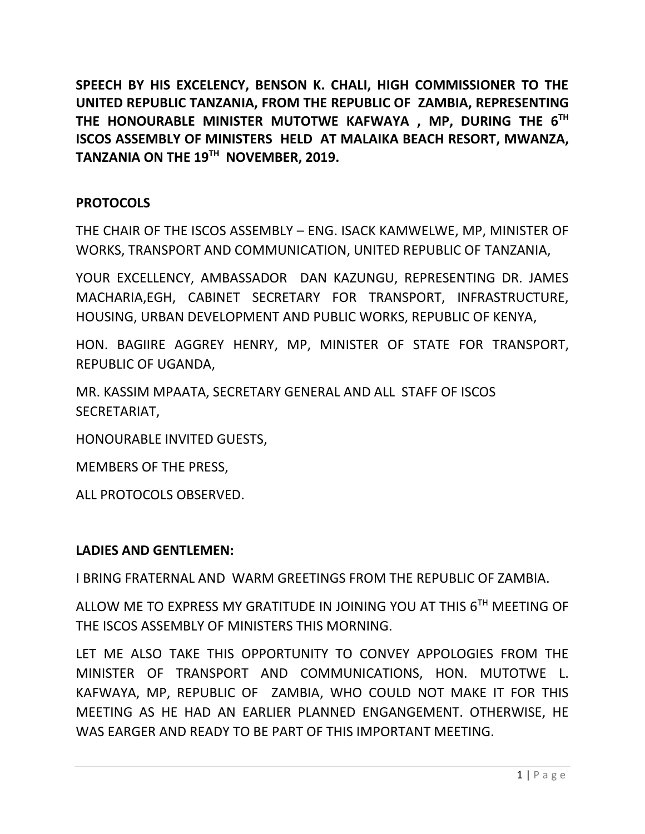**SPEECH BY HIS EXCELENCY, BENSON K. CHALI, HIGH COMMISSIONER TO THE UNITED REPUBLIC TANZANIA, FROM THE REPUBLIC OF ZAMBIA, REPRESENTING THE HONOURABLE MINISTER MUTOTWE KAFWAYA , MP, DURING THE 6TH ISCOS ASSEMBLY OF MINISTERS HELD AT MALAIKA BEACH RESORT, MWANZA, TANZANIA ON THE 19TH NOVEMBER, 2019.**

## **PROTOCOLS**

THE CHAIR OF THE ISCOS ASSEMBLY – ENG. ISACK KAMWELWE, MP, MINISTER OF WORKS, TRANSPORT AND COMMUNICATION, UNITED REPUBLIC OF TANZANIA,

YOUR EXCELLENCY, AMBASSADOR DAN KAZUNGU, REPRESENTING DR. JAMES MACHARIA,EGH, CABINET SECRETARY FOR TRANSPORT, INFRASTRUCTURE, HOUSING, URBAN DEVELOPMENT AND PUBLIC WORKS, REPUBLIC OF KENYA,

HON. BAGIIRE AGGREY HENRY, MP, MINISTER OF STATE FOR TRANSPORT, REPUBLIC OF UGANDA,

MR. KASSIM MPAATA, SECRETARY GENERAL AND ALL STAFF OF ISCOS SECRETARIAT,

HONOURABLE INVITED GUESTS,

MEMBERS OF THE PRESS,

ALL PROTOCOLS OBSERVED.

### **LADIES AND GENTLEMEN:**

I BRING FRATERNAL AND WARM GREETINGS FROM THE REPUBLIC OF ZAMBIA.

ALLOW ME TO EXPRESS MY GRATITUDE IN JOINING YOU AT THIS 6TH MEETING OF THE ISCOS ASSEMBLY OF MINISTERS THIS MORNING.

LET ME ALSO TAKE THIS OPPORTUNITY TO CONVEY APPOLOGIES FROM THE MINISTER OF TRANSPORT AND COMMUNICATIONS, HON. MUTOTWE L. KAFWAYA, MP, REPUBLIC OF ZAMBIA, WHO COULD NOT MAKE IT FOR THIS MEETING AS HE HAD AN EARLIER PLANNED ENGANGEMENT. OTHERWISE, HE WAS EARGER AND READY TO BE PART OF THIS IMPORTANT MEETING.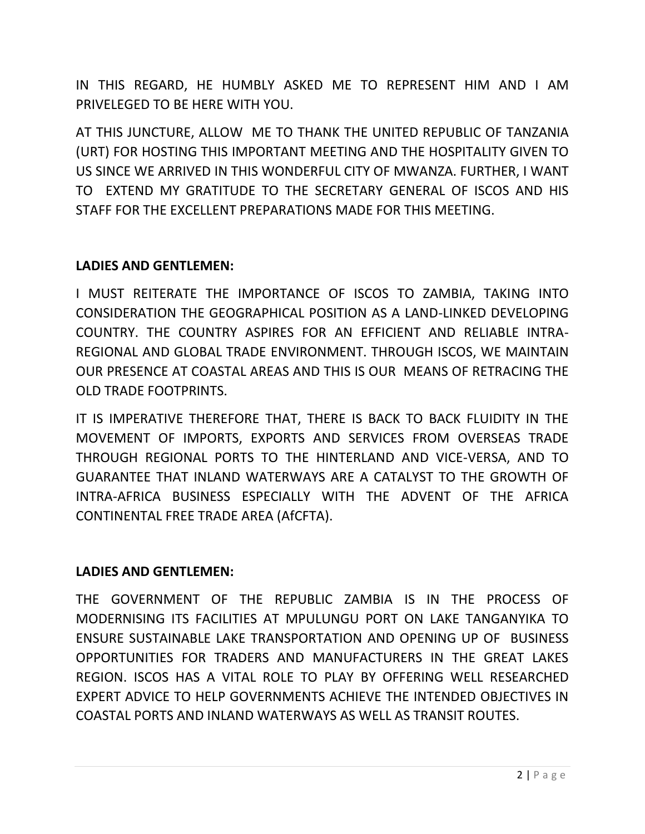IN THIS REGARD, HE HUMBLY ASKED ME TO REPRESENT HIM AND I AM PRIVELEGED TO BE HERE WITH YOU.

AT THIS JUNCTURE, ALLOW ME TO THANK THE UNITED REPUBLIC OF TANZANIA (URT) FOR HOSTING THIS IMPORTANT MEETING AND THE HOSPITALITY GIVEN TO US SINCE WE ARRIVED IN THIS WONDERFUL CITY OF MWANZA. FURTHER, I WANT TO EXTEND MY GRATITUDE TO THE SECRETARY GENERAL OF ISCOS AND HIS STAFF FOR THE EXCELLENT PREPARATIONS MADE FOR THIS MEETING.

### **LADIES AND GENTLEMEN:**

I MUST REITERATE THE IMPORTANCE OF ISCOS TO ZAMBIA, TAKING INTO CONSIDERATION THE GEOGRAPHICAL POSITION AS A LAND-LINKED DEVELOPING COUNTRY. THE COUNTRY ASPIRES FOR AN EFFICIENT AND RELIABLE INTRA-REGIONAL AND GLOBAL TRADE ENVIRONMENT. THROUGH ISCOS, WE MAINTAIN OUR PRESENCE AT COASTAL AREAS AND THIS IS OUR MEANS OF RETRACING THE OLD TRADE FOOTPRINTS.

IT IS IMPERATIVE THEREFORE THAT, THERE IS BACK TO BACK FLUIDITY IN THE MOVEMENT OF IMPORTS, EXPORTS AND SERVICES FROM OVERSEAS TRADE THROUGH REGIONAL PORTS TO THE HINTERLAND AND VICE-VERSA, AND TO GUARANTEE THAT INLAND WATERWAYS ARE A CATALYST TO THE GROWTH OF INTRA-AFRICA BUSINESS ESPECIALLY WITH THE ADVENT OF THE AFRICA CONTINENTAL FREE TRADE AREA (AfCFTA).

### **LADIES AND GENTLEMEN:**

THE GOVERNMENT OF THE REPUBLIC ZAMBIA IS IN THE PROCESS OF MODERNISING ITS FACILITIES AT MPULUNGU PORT ON LAKE TANGANYIKA TO ENSURE SUSTAINABLE LAKE TRANSPORTATION AND OPENING UP OF BUSINESS OPPORTUNITIES FOR TRADERS AND MANUFACTURERS IN THE GREAT LAKES REGION. ISCOS HAS A VITAL ROLE TO PLAY BY OFFERING WELL RESEARCHED EXPERT ADVICE TO HELP GOVERNMENTS ACHIEVE THE INTENDED OBJECTIVES IN COASTAL PORTS AND INLAND WATERWAYS AS WELL AS TRANSIT ROUTES.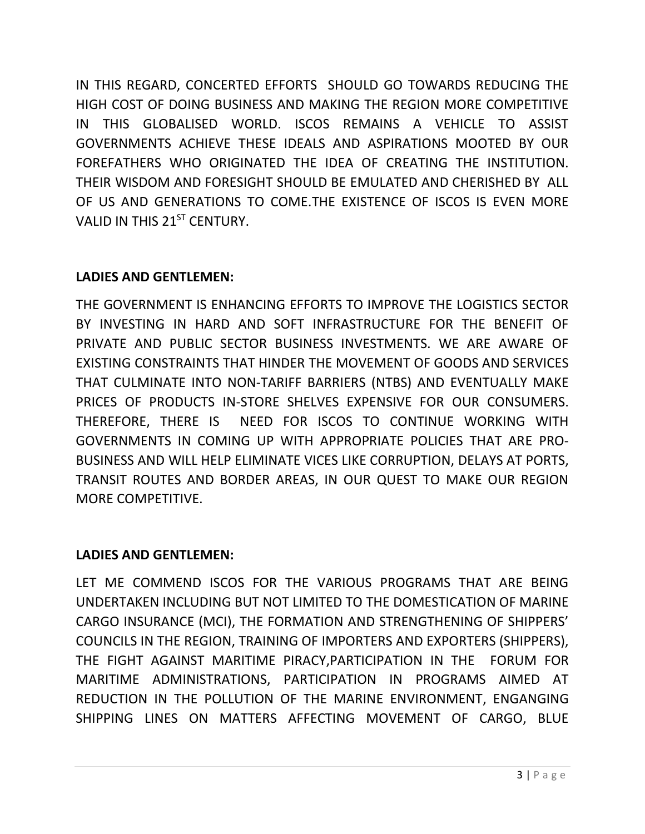IN THIS REGARD, CONCERTED EFFORTS SHOULD GO TOWARDS REDUCING THE HIGH COST OF DOING BUSINESS AND MAKING THE REGION MORE COMPETITIVE IN THIS GLOBALISED WORLD. ISCOS REMAINS A VEHICLE TO ASSIST GOVERNMENTS ACHIEVE THESE IDEALS AND ASPIRATIONS MOOTED BY OUR FOREFATHERS WHO ORIGINATED THE IDEA OF CREATING THE INSTITUTION. THEIR WISDOM AND FORESIGHT SHOULD BE EMULATED AND CHERISHED BY ALL OF US AND GENERATIONS TO COME.THE EXISTENCE OF ISCOS IS EVEN MORE VALID IN THIS 21<sup>ST</sup> CENTURY.

# **LADIES AND GENTLEMEN:**

THE GOVERNMENT IS ENHANCING EFFORTS TO IMPROVE THE LOGISTICS SECTOR BY INVESTING IN HARD AND SOFT INFRASTRUCTURE FOR THE BENEFIT OF PRIVATE AND PUBLIC SECTOR BUSINESS INVESTMENTS. WE ARE AWARE OF EXISTING CONSTRAINTS THAT HINDER THE MOVEMENT OF GOODS AND SERVICES THAT CULMINATE INTO NON-TARIFF BARRIERS (NTBS) AND EVENTUALLY MAKE PRICES OF PRODUCTS IN-STORE SHELVES EXPENSIVE FOR OUR CONSUMERS. THEREFORE, THERE IS NEED FOR ISCOS TO CONTINUE WORKING WITH GOVERNMENTS IN COMING UP WITH APPROPRIATE POLICIES THAT ARE PRO-BUSINESS AND WILL HELP ELIMINATE VICES LIKE CORRUPTION, DELAYS AT PORTS, TRANSIT ROUTES AND BORDER AREAS, IN OUR QUEST TO MAKE OUR REGION MORE COMPETITIVE.

## **LADIES AND GENTLEMEN:**

LET ME COMMEND ISCOS FOR THE VARIOUS PROGRAMS THAT ARE BEING UNDERTAKEN INCLUDING BUT NOT LIMITED TO THE DOMESTICATION OF MARINE CARGO INSURANCE (MCI), THE FORMATION AND STRENGTHENING OF SHIPPERS' COUNCILS IN THE REGION, TRAINING OF IMPORTERS AND EXPORTERS (SHIPPERS), THE FIGHT AGAINST MARITIME PIRACY,PARTICIPATION IN THE FORUM FOR MARITIME ADMINISTRATIONS, PARTICIPATION IN PROGRAMS AIMED AT REDUCTION IN THE POLLUTION OF THE MARINE ENVIRONMENT, ENGANGING SHIPPING LINES ON MATTERS AFFECTING MOVEMENT OF CARGO, BLUE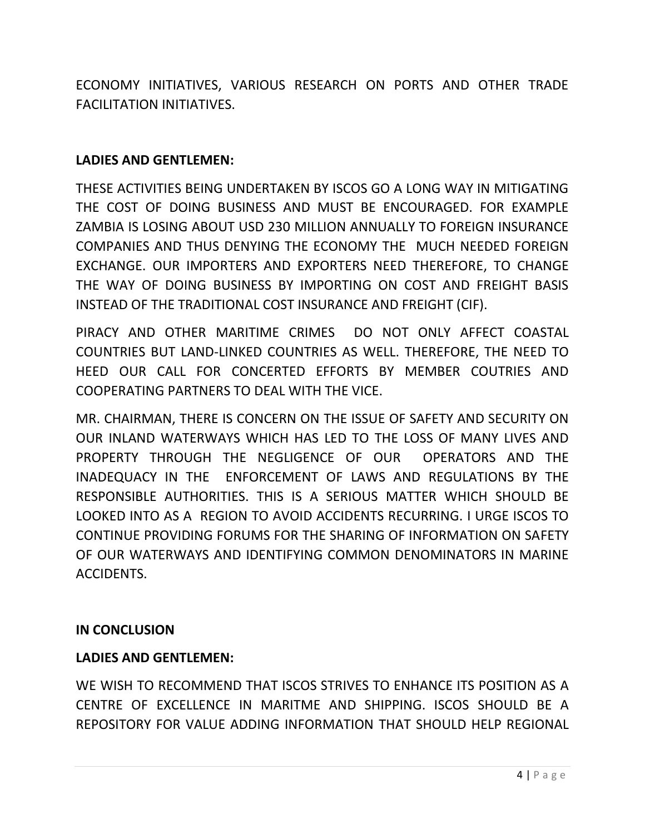ECONOMY INITIATIVES, VARIOUS RESEARCH ON PORTS AND OTHER TRADE FACILITATION INITIATIVES.

### **LADIES AND GENTLEMEN:**

THESE ACTIVITIES BEING UNDERTAKEN BY ISCOS GO A LONG WAY IN MITIGATING THE COST OF DOING BUSINESS AND MUST BE ENCOURAGED. FOR EXAMPLE ZAMBIA IS LOSING ABOUT USD 230 MILLION ANNUALLY TO FOREIGN INSURANCE COMPANIES AND THUS DENYING THE ECONOMY THE MUCH NEEDED FOREIGN EXCHANGE. OUR IMPORTERS AND EXPORTERS NEED THEREFORE, TO CHANGE THE WAY OF DOING BUSINESS BY IMPORTING ON COST AND FREIGHT BASIS INSTEAD OF THE TRADITIONAL COST INSURANCE AND FREIGHT (CIF).

PIRACY AND OTHER MARITIME CRIMES DO NOT ONLY AFFECT COASTAL COUNTRIES BUT LAND-LINKED COUNTRIES AS WELL. THEREFORE, THE NEED TO HEED OUR CALL FOR CONCERTED EFFORTS BY MEMBER COUTRIES AND COOPERATING PARTNERS TO DEAL WITH THE VICE.

MR. CHAIRMAN, THERE IS CONCERN ON THE ISSUE OF SAFETY AND SECURITY ON OUR INLAND WATERWAYS WHICH HAS LED TO THE LOSS OF MANY LIVES AND PROPERTY THROUGH THE NEGLIGENCE OF OUR OPERATORS AND THE INADEQUACY IN THE ENFORCEMENT OF LAWS AND REGULATIONS BY THE RESPONSIBLE AUTHORITIES. THIS IS A SERIOUS MATTER WHICH SHOULD BE LOOKED INTO AS A REGION TO AVOID ACCIDENTS RECURRING. I URGE ISCOS TO CONTINUE PROVIDING FORUMS FOR THE SHARING OF INFORMATION ON SAFETY OF OUR WATERWAYS AND IDENTIFYING COMMON DENOMINATORS IN MARINE ACCIDENTS.

### **IN CONCLUSION**

### **LADIES AND GENTLEMEN:**

WE WISH TO RECOMMEND THAT ISCOS STRIVES TO ENHANCE ITS POSITION AS A CENTRE OF EXCELLENCE IN MARITME AND SHIPPING. ISCOS SHOULD BE A REPOSITORY FOR VALUE ADDING INFORMATION THAT SHOULD HELP REGIONAL